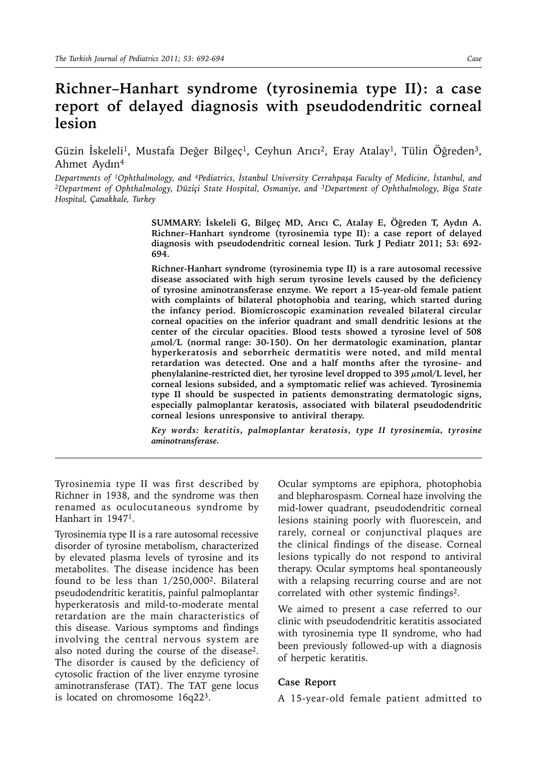## **Richner–Hanhart syndrome (tyrosinemia type II): a case report of delayed diagnosis with pseudodendritic corneal lesion**

Güzin İskeleli<sup>1</sup>, Mustafa Değer Bilgeç<sup>1</sup>, Ceyhun Arıcı<sup>2</sup>, Eray Atalay<sup>1</sup>, Tülin Öğreden<sup>3</sup>, Ahmet Aydın4

Departments of <sup>1</sup>Ophthalmology, and <sup>4</sup>Pediatrics, İstanbul University Cerrahpaşa Faculty of Medicine, İstanbul, and<br><sup>2</sup>Department of Ophthalmology, Düziçi State Hospital, Osmaniye, and <sup>3</sup>Department of Ophthalmology, Big *Hospital, Çanakkale, Turkey* 

> **SUMMARY: İskeleli G, Bilgeç MD, Arıcı C, Atalay E, Öğreden T, Aydın A. Richner–Hanhart syndrome (tyrosinemia type II): a case report of delayed diagnosis with pseudodendritic corneal lesion. Turk J Pediatr 2011; 53: 692- 694.**

> **Richner-Hanhart syndrome (tyrosinemia type II) is a rare autosomal recessive disease associated with high serum tyrosine levels caused by the deficiency of tyrosine aminotransferase enzyme. We report a 15-year-old female patient with complaints of bilateral photophobia and tearing, which started during the infancy period. Biomicroscopic examination revealed bilateral circular corneal opacities on the inferior quadrant and small dendritic lesions at the center of the circular opacities. Blood tests showed a tyrosine level of 508 µmol/L (normal range: 30-150). On her dermatologic examination, plantar hyperkeratosis and seborrheic dermatitis were noted, and mild mental retardation was detected. One and a half months after the tyrosine- and phenylalanine-restricted diet, her tyrosine level dropped to 395 µmol/L level, her corneal lesions subsided, and a symptomatic relief was achieved. Tyrosinemia type II should be suspected in patients demonstrating dermatologic signs, especially palmoplantar keratosis, associated with bilateral pseudodendritic corneal lesions unresponsive to antiviral therapy.**

> *Key words: keratitis, palmoplantar keratosis, type II tyrosinemia, tyrosine aminotransferase.*

Tyrosinemia type II was first described by Richner in 1938, and the syndrome was then renamed as oculocutaneous syndrome by Hanhart in 19471.

Tyrosinemia type II is a rare autosomal recessive disorder of tyrosine metabolism, characterized by elevated plasma levels of tyrosine and its metabolites. The disease incidence has been found to be less than  $1/250,000^2$ . Bilateral pseudodendritic keratitis, painful palmoplantar hyperkeratosis and mild-to-moderate mental retardation are the main characteristics of this disease. Various symptoms and findings involving the central nervous system are also noted during the course of the disease2. The disorder is caused by the deficiency of cytosolic fraction of the liver enzyme tyrosine aminotransferase (TAT). The TAT gene locus is located on chromosome 16q223.

Ocular symptoms are epiphora, photophobia and blepharospasm. Corneal haze involving the mid-lower quadrant, pseudodendritic corneal lesions staining poorly with fluorescein, and rarely, corneal or conjunctival plaques are the clinical findings of the disease. Corneal lesions typically do not respond to antiviral therapy. Ocular symptoms heal spontaneously with a relapsing recurring course and are not correlated with other systemic findings<sup>2</sup>.

We aimed to present a case referred to our clinic with pseudodendritic keratitis associated with tyrosinemia type II syndrome, who had been previously followed-up with a diagnosis of herpetic keratitis.

## **Case Report**

A 15-year-old female patient admitted to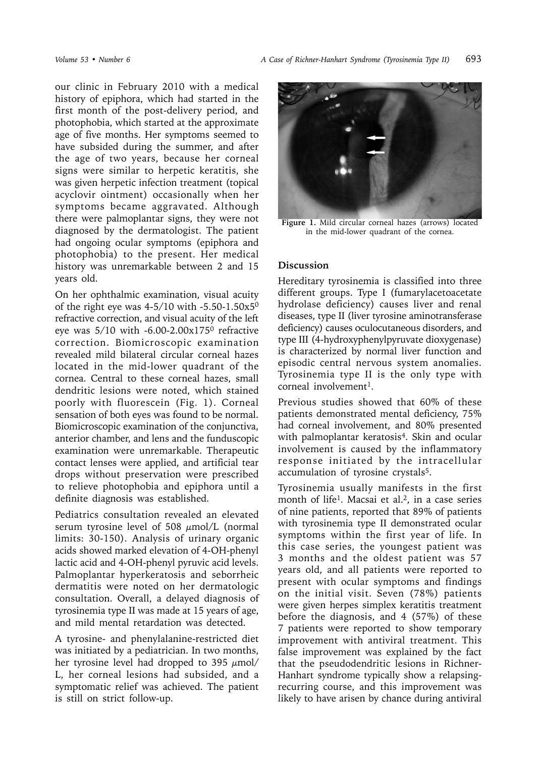our clinic in February 2010 with a medical history of epiphora, which had started in the first month of the post-delivery period, and photophobia, which started at the approximate age of five months. Her symptoms seemed to have subsided during the summer, and after the age of two years, because her corneal signs were similar to herpetic keratitis, she was given herpetic infection treatment (topical acyclovir ointment) occasionally when her symptoms became aggravated. Although there were palmoplantar signs, they were not diagnosed by the dermatologist. The patient had ongoing ocular symptoms (epiphora and photophobia) to the present. Her medical history was unremarkable between 2 and 15 years old.

On her ophthalmic examination, visual acuity of the right eye was  $4-5/10$  with  $-5.50-1.50x5^{0}$ refractive correction, and visual acuity of the left eye was  $5/10$  with -6.00-2.00 $x175$ <sup>0</sup> refractive correction. Biomicroscopic examination revealed mild bilateral circular corneal hazes located in the mid-lower quadrant of the cornea. Central to these corneal hazes, small dendritic lesions were noted, which stained poorly with fluorescein (Fig. 1). Corneal sensation of both eyes was found to be normal. Biomicroscopic examination of the conjunctiva, anterior chamber, and lens and the funduscopic examination were unremarkable. Therapeutic contact lenses were applied, and artificial tear drops without preservation were prescribed to relieve photophobia and epiphora until a definite diagnosis was established.

Pediatrics consultation revealed an elevated serum tyrosine level of 508  $\mu$ mol/L (normal limits: 30-150). Analysis of urinary organic acids showed marked elevation of 4-OH-phenyl lactic acid and 4-OH-phenyl pyruvic acid levels. Palmoplantar hyperkeratosis and seborrheic dermatitis were noted on her dermatologic consultation. Overall, a delayed diagnosis of tyrosinemia type II was made at 15 years of age, and mild mental retardation was detected.

A tyrosine- and phenylalanine-restricted diet was initiated by a pediatrician. In two months, her tyrosine level had dropped to 395  $\mu$ mol/ L, her corneal lesions had subsided, and a symptomatic relief was achieved. The patient is still on strict follow-up.



**Figure 1.** Mild circular corneal hazes (arrows) located in the mid-lower quadrant of the cornea.

## **Discussion**

Hereditary tyrosinemia is classified into three different groups. Type I (fumarylacetoacetate hydrolase deficiency) causes liver and renal diseases, type II (liver tyrosine aminotransferase deficiency) causes oculocutaneous disorders, and type III (4-hydroxyphenylpyruvate dioxygenase) is characterized by normal liver function and episodic central nervous system anomalies. Tyrosinemia type II is the only type with corneal involvement<sup>1</sup>.

Previous studies showed that 60% of these patients demonstrated mental deficiency, 75% had corneal involvement, and 80% presented with palmoplantar keratosis<sup>4</sup>. Skin and ocular involvement is caused by the inflammatory response initiated by the intracellular accumulation of tyrosine crystals<sup>5</sup>.

Tyrosinemia usually manifests in the first month of life<sup>1</sup>. Macsai et al.<sup>2</sup>, in a case series of nine patients, reported that 89% of patients with tyrosinemia type II demonstrated ocular symptoms within the first year of life. In this case series, the youngest patient was 3 months and the oldest patient was 57 years old, and all patients were reported to present with ocular symptoms and findings on the initial visit. Seven (78%) patients were given herpes simplex keratitis treatment before the diagnosis, and 4 (57%) of these 7 patients were reported to show temporary improvement with antiviral treatment. This false improvement was explained by the fact that the pseudodendritic lesions in Richner-Hanhart syndrome typically show a relapsingrecurring course, and this improvement was likely to have arisen by chance during antiviral